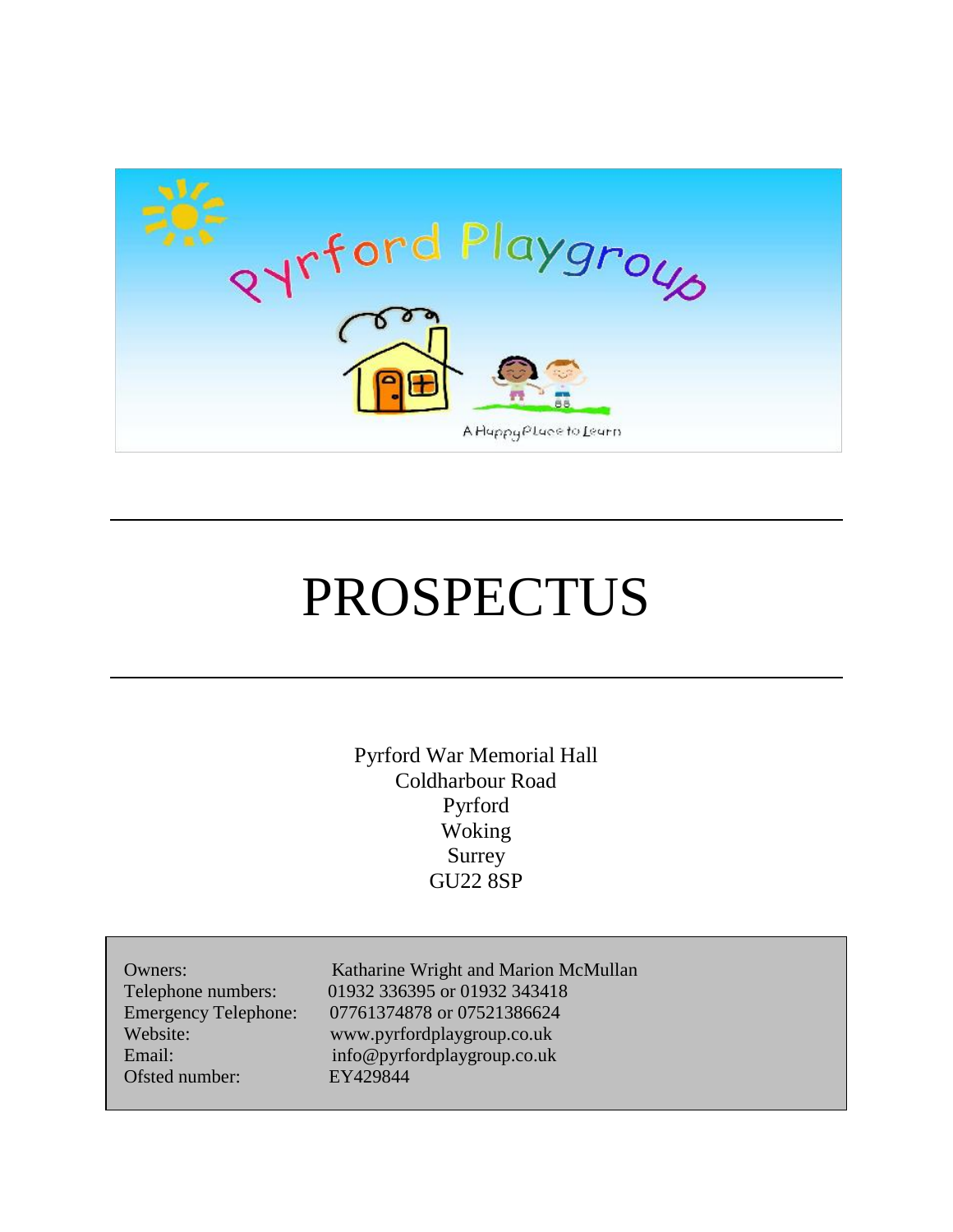

# PROSPECTUS

Pyrford War Memorial Hall Coldharbour Road Pyrford Woking Surrey GU22 8SP

| Owners:                     |
|-----------------------------|
| Telephone numbers:          |
| <b>Emergency Telephone:</b> |
| Website:                    |
| Email:                      |
| Ofsted number:              |
|                             |

Katharine Wright and Marion McMullan 01932 336395 or 01932 343418 07761374878 or 07521386624 Website: www.pyrfordplaygroup.co.uk info@pyrfordplaygroup.co.uk EY429844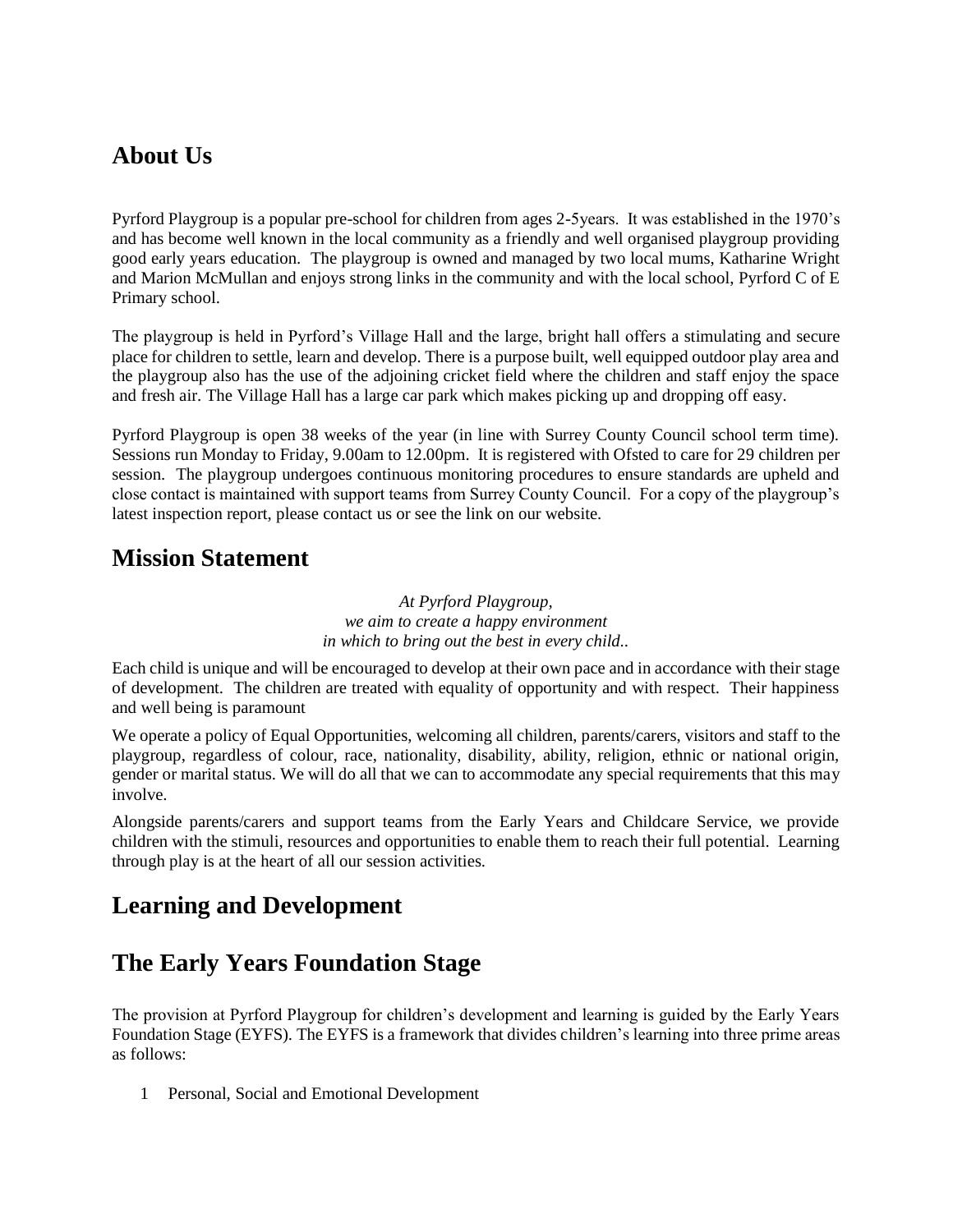## **About Us**

Pyrford Playgroup is a popular pre-school for children from ages 2-5years. It was established in the 1970's and has become well known in the local community as a friendly and well organised playgroup providing good early years education. The playgroup is owned and managed by two local mums, Katharine Wright and Marion McMullan and enjoys strong links in the community and with the local school, Pyrford C of E Primary school.

The playgroup is held in Pyrford's Village Hall and the large, bright hall offers a stimulating and secure place for children to settle, learn and develop. There is a purpose built, well equipped outdoor play area and the playgroup also has the use of the adjoining cricket field where the children and staff enjoy the space and fresh air. The Village Hall has a large car park which makes picking up and dropping off easy.

Pyrford Playgroup is open 38 weeks of the year (in line with Surrey County Council school term time). Sessions run Monday to Friday, 9.00am to 12.00pm. It is registered with Ofsted to care for 29 children per session. The playgroup undergoes continuous monitoring procedures to ensure standards are upheld and close contact is maintained with support teams from Surrey County Council. For a copy of the playgroup's latest inspection report, please contact us or see the link on our website.

#### **Mission Statement**

*At Pyrford Playgroup, we aim to create a happy environment in which to bring out the best in every child..*

Each child is unique and will be encouraged to develop at their own pace and in accordance with their stage of development. The children are treated with equality of opportunity and with respect. Their happiness and well being is paramount

We operate a policy of Equal Opportunities, welcoming all children, parents/carers, visitors and staff to the playgroup, regardless of colour, race, nationality, disability, ability, religion, ethnic or national origin, gender or marital status. We will do all that we can to accommodate any special requirements that this may involve.

Alongside parents/carers and support teams from the Early Years and Childcare Service, we provide children with the stimuli, resources and opportunities to enable them to reach their full potential. Learning through play is at the heart of all our session activities.

## **Learning and Development**

## **The Early Years Foundation Stage**

The provision at Pyrford Playgroup for children's development and learning is guided by the Early Years Foundation Stage (EYFS). The EYFS is a framework that divides children's learning into three prime areas as follows:

1 Personal, Social and Emotional Development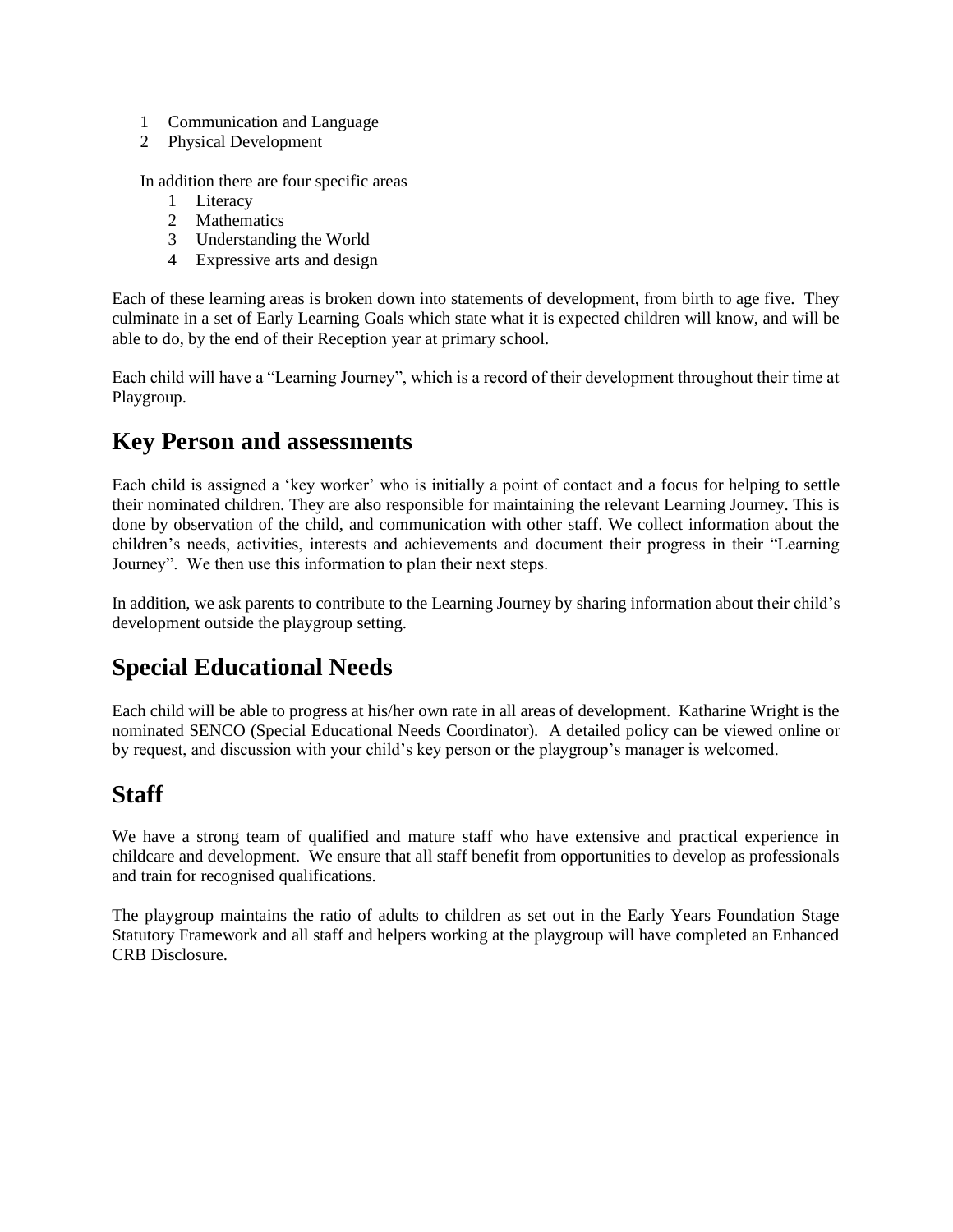- 1 Communication and Language
- 2 Physical Development

In addition there are four specific areas

- 1 Literacy
- 2 Mathematics
- 3 Understanding the World
- 4 Expressive arts and design

Each of these learning areas is broken down into statements of development, from birth to age five. They culminate in a set of Early Learning Goals which state what it is expected children will know, and will be able to do, by the end of their Reception year at primary school.

Each child will have a "Learning Journey", which is a record of their development throughout their time at Playgroup.

#### **Key Person and assessments**

Each child is assigned a 'key worker' who is initially a point of contact and a focus for helping to settle their nominated children. They are also responsible for maintaining the relevant Learning Journey. This is done by observation of the child, and communication with other staff. We collect information about the children's needs, activities, interests and achievements and document their progress in their "Learning Journey". We then use this information to plan their next steps.

In addition, we ask parents to contribute to the Learning Journey by sharing information about their child's development outside the playgroup setting.

## **Special Educational Needs**

Each child will be able to progress at his/her own rate in all areas of development. Katharine Wright is the nominated SENCO (Special Educational Needs Coordinator). A detailed policy can be viewed online or by request, and discussion with your child's key person or the playgroup's manager is welcomed.

## **Staff**

We have a strong team of qualified and mature staff who have extensive and practical experience in childcare and development. We ensure that all staff benefit from opportunities to develop as professionals and train for recognised qualifications.

The playgroup maintains the ratio of adults to children as set out in the Early Years Foundation Stage Statutory Framework and all staff and helpers working at the playgroup will have completed an Enhanced CRB Disclosure.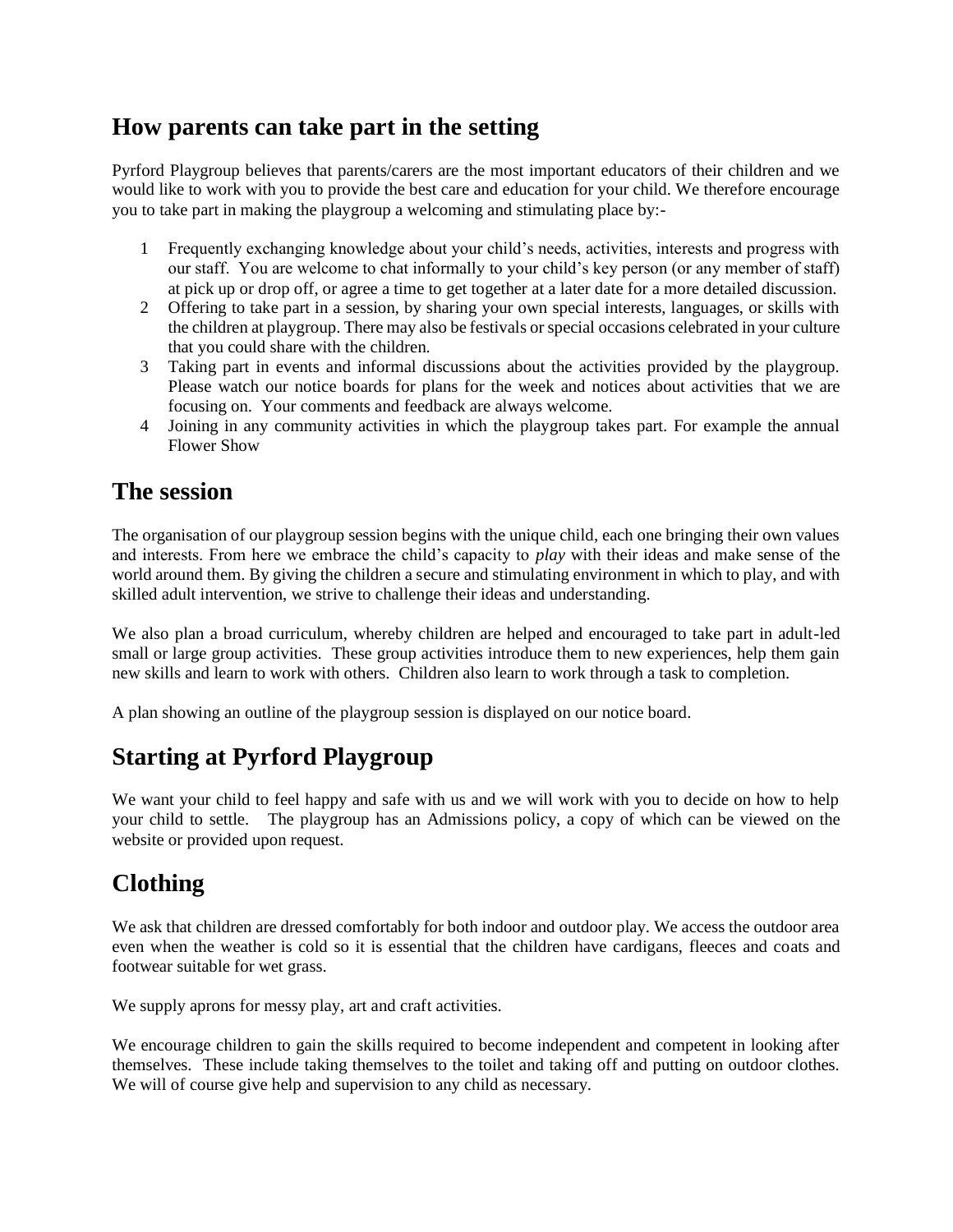## **How parents can take part in the setting**

Pyrford Playgroup believes that parents/carers are the most important educators of their children and we would like to work with you to provide the best care and education for your child. We therefore encourage you to take part in making the playgroup a welcoming and stimulating place by:-

- 1 Frequently exchanging knowledge about your child's needs, activities, interests and progress with our staff. You are welcome to chat informally to your child's key person (or any member of staff) at pick up or drop off, or agree a time to get together at a later date for a more detailed discussion.
- 2 Offering to take part in a session, by sharing your own special interests, languages, or skills with the children at playgroup. There may also be festivals or special occasions celebrated in your culture that you could share with the children.
- 3 Taking part in events and informal discussions about the activities provided by the playgroup. Please watch our notice boards for plans for the week and notices about activities that we are focusing on. Your comments and feedback are always welcome.
- 4 Joining in any community activities in which the playgroup takes part. For example the annual Flower Show

#### **The session**

The organisation of our playgroup session begins with the unique child, each one bringing their own values and interests. From here we embrace the child's capacity to *play* with their ideas and make sense of the world around them. By giving the children a secure and stimulating environment in which to play, and with skilled adult intervention, we strive to challenge their ideas and understanding.

We also plan a broad curriculum, whereby children are helped and encouraged to take part in adult-led small or large group activities. These group activities introduce them to new experiences, help them gain new skills and learn to work with others. Children also learn to work through a task to completion.

A plan showing an outline of the playgroup session is displayed on our notice board.

# **Starting at Pyrford Playgroup**

We want your child to feel happy and safe with us and we will work with you to decide on how to help your child to settle. The playgroup has an Admissions policy, a copy of which can be viewed on the website or provided upon request.

# **Clothing**

We ask that children are dressed comfortably for both indoor and outdoor play. We access the outdoor area even when the weather is cold so it is essential that the children have cardigans, fleeces and coats and footwear suitable for wet grass.

We supply aprons for messy play, art and craft activities.

We encourage children to gain the skills required to become independent and competent in looking after themselves. These include taking themselves to the toilet and taking off and putting on outdoor clothes. We will of course give help and supervision to any child as necessary.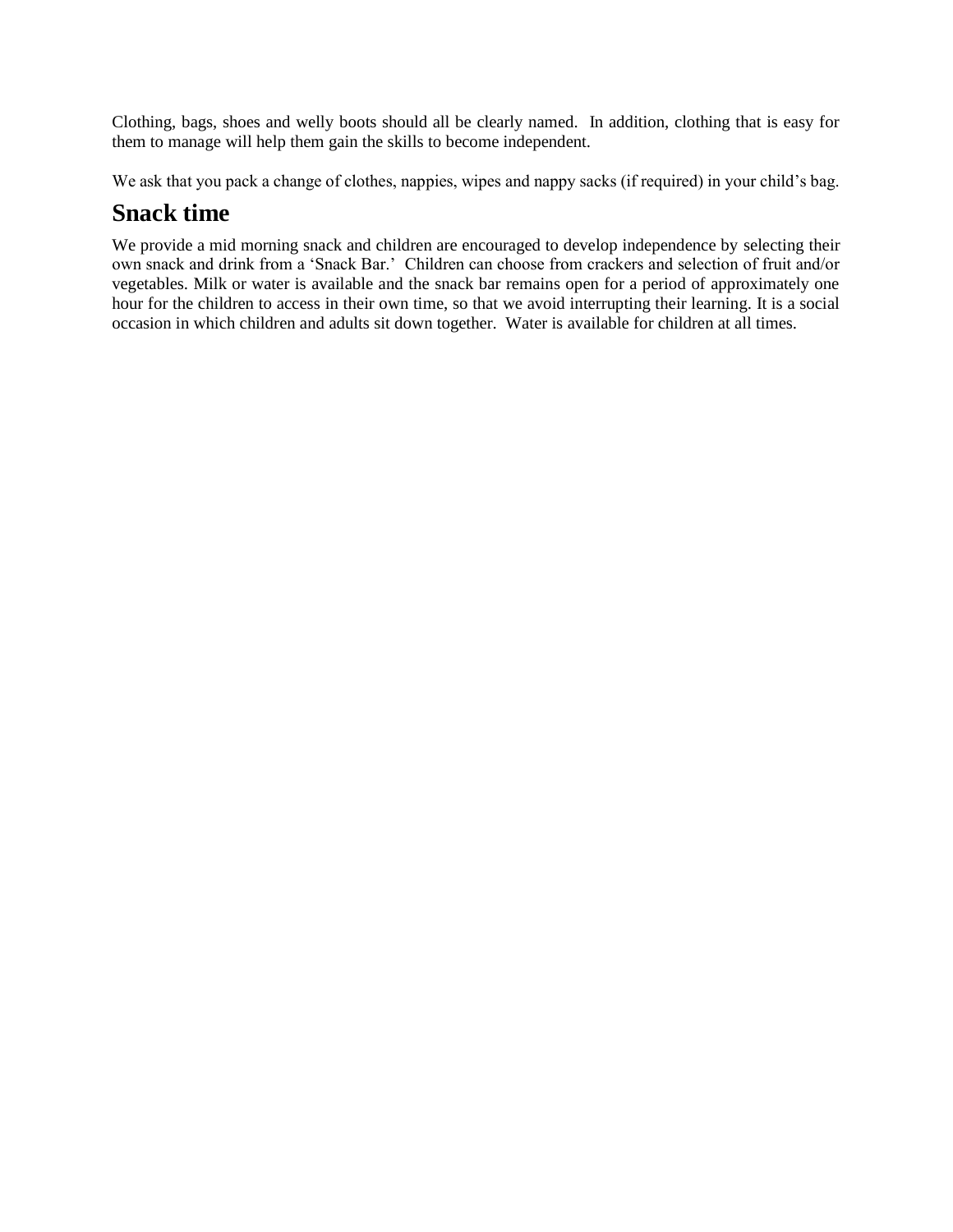Clothing, bags, shoes and welly boots should all be clearly named. In addition, clothing that is easy for them to manage will help them gain the skills to become independent.

We ask that you pack a change of clothes, nappies, wipes and nappy sacks (if required) in your child's bag.

#### **Snack time**

We provide a mid morning snack and children are encouraged to develop independence by selecting their own snack and drink from a 'Snack Bar.' Children can choose from crackers and selection of fruit and/or vegetables. Milk or water is available and the snack bar remains open for a period of approximately one hour for the children to access in their own time, so that we avoid interrupting their learning. It is a social occasion in which children and adults sit down together. Water is available for children at all times.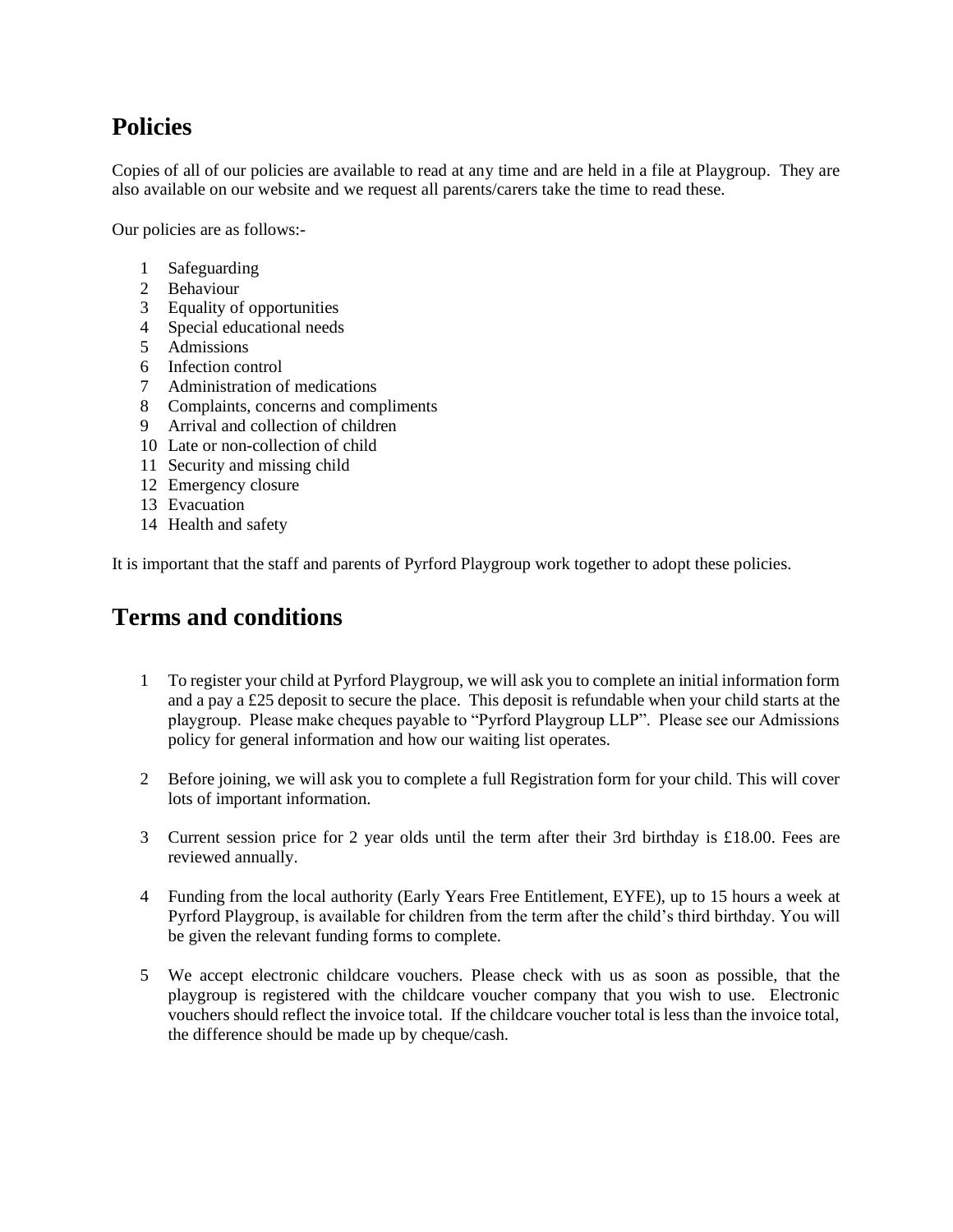## **Policies**

Copies of all of our policies are available to read at any time and are held in a file at Playgroup. They are also available on our website and we request all parents/carers take the time to read these.

Our policies are as follows:-

- 1 Safeguarding
- 2 Behaviour
- 3 Equality of opportunities
- 4 Special educational needs
- 5 Admissions
- 6 Infection control
- 7 Administration of medications
- 8 Complaints, concerns and compliments
- 9 Arrival and collection of children
- 10 Late or non-collection of child
- 11 Security and missing child
- 12 Emergency closure
- 13 Evacuation
- 14 Health and safety

It is important that the staff and parents of Pyrford Playgroup work together to adopt these policies.

#### **Terms and conditions**

- 1 To register your child at Pyrford Playgroup, we will ask you to complete an initial information form and a pay a £25 deposit to secure the place. This deposit is refundable when your child starts at the playgroup. Please make cheques payable to "Pyrford Playgroup LLP". Please see our Admissions policy for general information and how our waiting list operates.
- 2 Before joining, we will ask you to complete a full Registration form for your child. This will cover lots of important information.
- 3 Current session price for 2 year olds until the term after their 3rd birthday is £18.00. Fees are reviewed annually.
- 4 Funding from the local authority (Early Years Free Entitlement, EYFE), up to 15 hours a week at Pyrford Playgroup, is available for children from the term after the child's third birthday. You will be given the relevant funding forms to complete.
- 5 We accept electronic childcare vouchers. Please check with us as soon as possible, that the playgroup is registered with the childcare voucher company that you wish to use. Electronic vouchers should reflect the invoice total. If the childcare voucher total is less than the invoice total, the difference should be made up by cheque/cash.